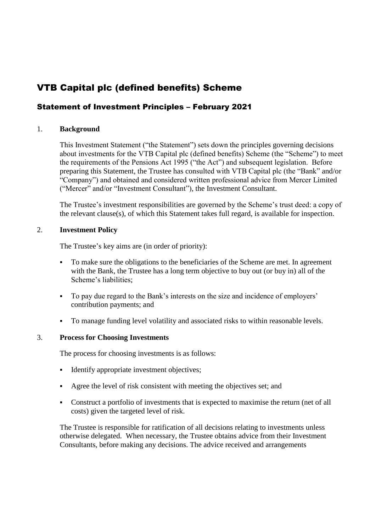# VTB Capital plc (defined benefits) Scheme

## Statement of Investment Principles – February 2021

## 1. **Background**

This Investment Statement ("the Statement") sets down the principles governing decisions about investments for the VTB Capital plc (defined benefits) Scheme (the "Scheme") to meet the requirements of the Pensions Act 1995 ("the Act") and subsequent legislation. Before preparing this Statement, the Trustee has consulted with VTB Capital plc (the "Bank" and/or "Company") and obtained and considered written professional advice from Mercer Limited ("Mercer" and/or "Investment Consultant"), the Investment Consultant.

The Trustee's investment responsibilities are governed by the Scheme's trust deed: a copy of the relevant clause(s), of which this Statement takes full regard, is available for inspection.

## 2. **Investment Policy**

The Trustee's key aims are (in order of priority):

- To make sure the obligations to the beneficiaries of the Scheme are met. In agreement with the Bank, the Trustee has a long term objective to buy out (or buy in) all of the Scheme's liabilities;
- To pay due regard to the Bank's interests on the size and incidence of employers' contribution payments; and
- To manage funding level volatility and associated risks to within reasonable levels.

## 3. **Process for Choosing Investments**

The process for choosing investments is as follows:

- Identify appropriate investment objectives;
- Agree the level of risk consistent with meeting the objectives set; and
- Construct a portfolio of investments that is expected to maximise the return (net of all costs) given the targeted level of risk.

The Trustee is responsible for ratification of all decisions relating to investments unless otherwise delegated. When necessary, the Trustee obtains advice from their Investment Consultants, before making any decisions. The advice received and arrangements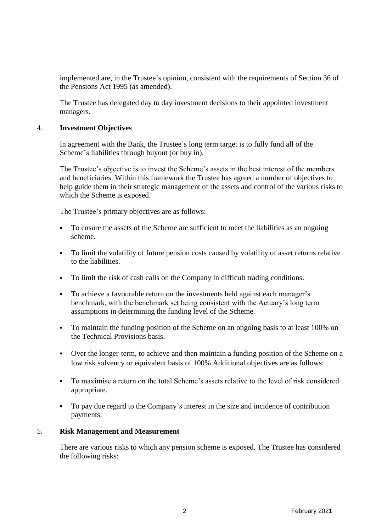implemented are, in the Trustee's opinion, consistent with the requirements of Section 36 of the Pensions Act 1995 (as amended).

The Trustee has delegated day to day investment decisions to their appointed investment managers.

#### 4. **Investment Objectives**

In agreement with the Bank, the Trustee's long term target is to fully fund all of the Scheme's liabilities through buyout (or buy in).

The Trustee's objective is to invest the Scheme's assets in the best interest of the members and beneficiaries. Within this framework the Trustee has agreed a number of objectives to help guide them in their strategic management of the assets and control of the various risks to which the Scheme is exposed.

The Trustee's primary objectives are as follows:

- To ensure the assets of the Scheme are sufficient to meet the liabilities as an ongoing scheme.
- To limit the volatility of future pension costs caused by volatility of asset returns relative to the liabilities.
- To limit the risk of cash calls on the Company in difficult trading conditions.
- To achieve a favourable return on the investments held against each manager's benchmark, with the benchmark set being consistent with the Actuary's long term assumptions in determining the funding level of the Scheme.
- To maintain the funding position of the Scheme on an ongoing basis to at least 100% on the Technical Provisions basis.
- Over the longer-term, to achieve and then maintain a funding position of the Scheme on a low risk solvency or equivalent basis of 100%.Additional objectives are as follows:
- To maximise a return on the total Scheme's assets relative to the level of risk considered appropriate.
- To pay due regard to the Company's interest in the size and incidence of contribution payments.

#### 5. **Risk Management and Measurement**

There are various risks to which any pension scheme is exposed. The Trustee has considered the following risks: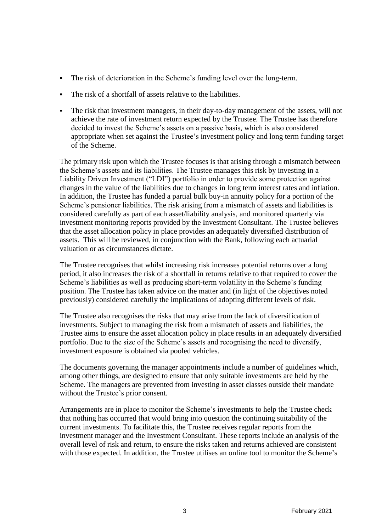- The risk of deterioration in the Scheme's funding level over the long-term.
- The risk of a shortfall of assets relative to the liabilities.
- The risk that investment managers, in their day-to-day management of the assets, will not achieve the rate of investment return expected by the Trustee. The Trustee has therefore decided to invest the Scheme's assets on a passive basis, which is also considered appropriate when set against the Trustee's investment policy and long term funding target of the Scheme.

The primary risk upon which the Trustee focuses is that arising through a mismatch between the Scheme's assets and its liabilities. The Trustee manages this risk by investing in a Liability Driven Investment ("LDI") portfolio in order to provide some protection against changes in the value of the liabilities due to changes in long term interest rates and inflation. In addition, the Trustee has funded a partial bulk buy-in annuity policy for a portion of the Scheme's pensioner liabilities. The risk arising from a mismatch of assets and liabilities is considered carefully as part of each asset/liability analysis, and monitored quarterly via investment monitoring reports provided by the Investment Consultant. The Trustee believes that the asset allocation policy in place provides an adequately diversified distribution of assets. This will be reviewed, in conjunction with the Bank, following each actuarial valuation or as circumstances dictate.

The Trustee recognises that whilst increasing risk increases potential returns over a long period, it also increases the risk of a shortfall in returns relative to that required to cover the Scheme's liabilities as well as producing short-term volatility in the Scheme's funding position. The Trustee has taken advice on the matter and (in light of the objectives noted previously) considered carefully the implications of adopting different levels of risk.

The Trustee also recognises the risks that may arise from the lack of diversification of investments. Subject to managing the risk from a mismatch of assets and liabilities, the Trustee aims to ensure the asset allocation policy in place results in an adequately diversified portfolio. Due to the size of the Scheme's assets and recognising the need to diversify, investment exposure is obtained via pooled vehicles.

The documents governing the manager appointments include a number of guidelines which, among other things, are designed to ensure that only suitable investments are held by the Scheme. The managers are prevented from investing in asset classes outside their mandate without the Trustee's prior consent.

Arrangements are in place to monitor the Scheme's investments to help the Trustee check that nothing has occurred that would bring into question the continuing suitability of the current investments. To facilitate this, the Trustee receives regular reports from the investment manager and the Investment Consultant. These reports include an analysis of the overall level of risk and return, to ensure the risks taken and returns achieved are consistent with those expected. In addition, the Trustee utilises an online tool to monitor the Scheme's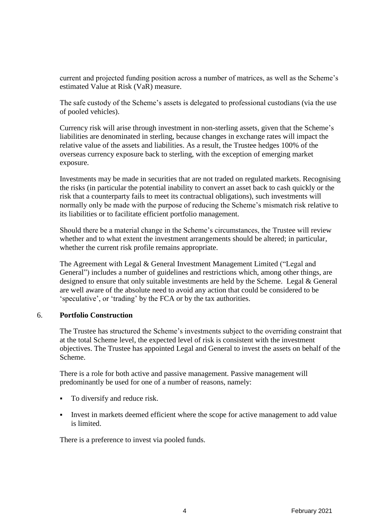current and projected funding position across a number of matrices, as well as the Scheme's estimated Value at Risk (VaR) measure.

The safe custody of the Scheme's assets is delegated to professional custodians (via the use of pooled vehicles).

Currency risk will arise through investment in non-sterling assets, given that the Scheme's liabilities are denominated in sterling, because changes in exchange rates will impact the relative value of the assets and liabilities. As a result, the Trustee hedges 100% of the overseas currency exposure back to sterling, with the exception of emerging market exposure.

Investments may be made in securities that are not traded on regulated markets. Recognising the risks (in particular the potential inability to convert an asset back to cash quickly or the risk that a counterparty fails to meet its contractual obligations), such investments will normally only be made with the purpose of reducing the Scheme's mismatch risk relative to its liabilities or to facilitate efficient portfolio management.

Should there be a material change in the Scheme's circumstances, the Trustee will review whether and to what extent the investment arrangements should be altered; in particular, whether the current risk profile remains appropriate.

The Agreement with Legal & General Investment Management Limited ("Legal and General") includes a number of guidelines and restrictions which, among other things, are designed to ensure that only suitable investments are held by the Scheme. Legal & General are well aware of the absolute need to avoid any action that could be considered to be 'speculative', or 'trading' by the FCA or by the tax authorities.

#### 6. **Portfolio Construction**

The Trustee has structured the Scheme's investments subject to the overriding constraint that at the total Scheme level, the expected level of risk is consistent with the investment objectives. The Trustee has appointed Legal and General to invest the assets on behalf of the Scheme.

There is a role for both active and passive management. Passive management will predominantly be used for one of a number of reasons, namely:

- To diversify and reduce risk.
- Invest in markets deemed efficient where the scope for active management to add value is limited.

There is a preference to invest via pooled funds.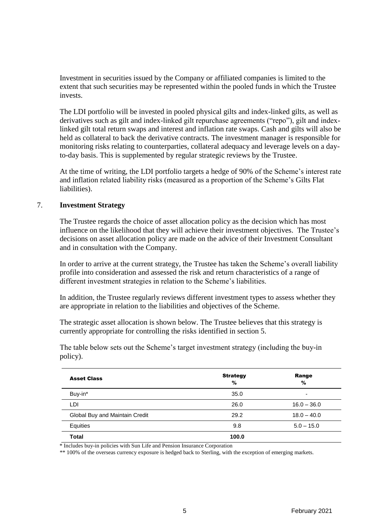Investment in securities issued by the Company or affiliated companies is limited to the extent that such securities may be represented within the pooled funds in which the Trustee invests.

The LDI portfolio will be invested in pooled physical gilts and index-linked gilts, as well as derivatives such as gilt and index-linked gilt repurchase agreements ("repo"), gilt and indexlinked gilt total return swaps and interest and inflation rate swaps. Cash and gilts will also be held as collateral to back the derivative contracts. The investment manager is responsible for monitoring risks relating to counterparties, collateral adequacy and leverage levels on a dayto-day basis. This is supplemented by regular strategic reviews by the Trustee.

At the time of writing, the LDI portfolio targets a hedge of 90% of the Scheme's interest rate and inflation related liability risks (measured as a proportion of the Scheme's Gilts Flat liabilities).

#### 7. **Investment Strategy**

The Trustee regards the choice of asset allocation policy as the decision which has most influence on the likelihood that they will achieve their investment objectives. The Trustee's decisions on asset allocation policy are made on the advice of their Investment Consultant and in consultation with the Company.

In order to arrive at the current strategy, the Trustee has taken the Scheme's overall liability profile into consideration and assessed the risk and return characteristics of a range of different investment strategies in relation to the Scheme's liabilities.

In addition, the Trustee regularly reviews different investment types to assess whether they are appropriate in relation to the liabilities and objectives of the Scheme.

The strategic asset allocation is shown below. The Trustee believes that this strategy is currently appropriate for controlling the risks identified in section 5.

The table below sets out the Scheme's target investment strategy (including the buy-in policy).

| <b>Asset Class</b>             | <b>Strategy</b><br>% | Range<br>%               |
|--------------------------------|----------------------|--------------------------|
| Buy-in*                        | 35.0                 | $\overline{\phantom{0}}$ |
| LDI                            | 26.0                 | $16.0 - 36.0$            |
| Global Buy and Maintain Credit | 29.2                 | $18.0 - 40.0$            |
| Equities                       | 9.8                  | $5.0 - 15.0$             |
| Total                          | 100.0                |                          |

\* Includes buy-in policies with Sun Life and Pension Insurance Corporation

\*\* 100% of the overseas currency exposure is hedged back to Sterling, with the exception of emerging markets.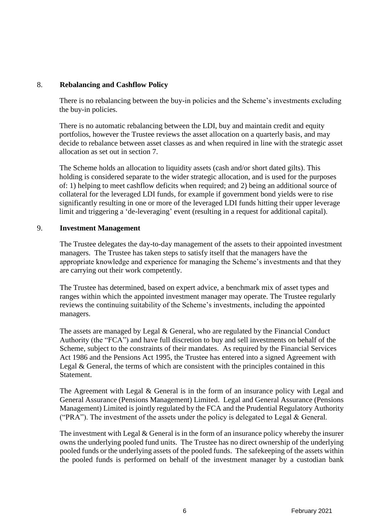## 8. **Rebalancing and Cashflow Policy**

There is no rebalancing between the buy-in policies and the Scheme's investments excluding the buy-in policies.

There is no automatic rebalancing between the LDI, buy and maintain credit and equity portfolios, however the Trustee reviews the asset allocation on a quarterly basis, and may decide to rebalance between asset classes as and when required in line with the strategic asset allocation as set out in section 7.

The Scheme holds an allocation to liquidity assets (cash and/or short dated gilts). This holding is considered separate to the wider strategic allocation, and is used for the purposes of: 1) helping to meet cashflow deficits when required; and 2) being an additional source of collateral for the leveraged LDI funds, for example if government bond yields were to rise significantly resulting in one or more of the leveraged LDI funds hitting their upper leverage limit and triggering a 'de-leveraging' event (resulting in a request for additional capital).

#### 9. **Investment Management**

The Trustee delegates the day-to-day management of the assets to their appointed investment managers. The Trustee has taken steps to satisfy itself that the managers have the appropriate knowledge and experience for managing the Scheme's investments and that they are carrying out their work competently.

The Trustee has determined, based on expert advice, a benchmark mix of asset types and ranges within which the appointed investment manager may operate. The Trustee regularly reviews the continuing suitability of the Scheme's investments, including the appointed managers.

The assets are managed by Legal & General, who are regulated by the Financial Conduct Authority (the "FCA") and have full discretion to buy and sell investments on behalf of the Scheme, subject to the constraints of their mandates. As required by the Financial Services Act 1986 and the Pensions Act 1995, the Trustee has entered into a signed Agreement with Legal & General, the terms of which are consistent with the principles contained in this Statement.

The Agreement with Legal & General is in the form of an insurance policy with Legal and General Assurance (Pensions Management) Limited. Legal and General Assurance (Pensions Management) Limited is jointly regulated by the FCA and the Prudential Regulatory Authority ("PRA"). The investment of the assets under the policy is delegated to Legal  $&$  General.

The investment with Legal & General is in the form of an insurance policy whereby the insurer owns the underlying pooled fund units. The Trustee has no direct ownership of the underlying pooled funds or the underlying assets of the pooled funds. The safekeeping of the assets within the pooled funds is performed on behalf of the investment manager by a custodian bank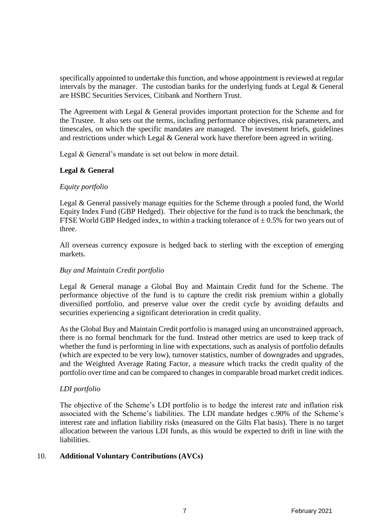specifically appointed to undertake this function, and whose appointment is reviewed at regular intervals by the manager. The custodian banks for the underlying funds at Legal & General are HSBC Securities Services, Citibank and Northern Trust.

The Agreement with Legal & General provides important protection for the Scheme and for the Trustee. It also sets out the terms, including performance objectives, risk parameters, and timescales, on which the specific mandates are managed. The investment briefs, guidelines and restrictions under which Legal & General work have therefore been agreed in writing.

Legal & General's mandate is set out below in more detail.

## **Legal & General**

## *Equity portfolio*

Legal & General passively manage equities for the Scheme through a pooled fund, the World Equity Index Fund (GBP Hedged). Their objective for the fund is to track the benchmark, the FTSE World GBP Hedged index, to within a tracking tolerance of  $\pm$  0.5% for two years out of three.

All overseas currency exposure is hedged back to sterling with the exception of emerging markets.

## *Buy and Maintain Credit portfolio*

Legal & General manage a Global Buy and Maintain Credit fund for the Scheme. The performance objective of the fund is to capture the credit risk premium within a globally diversified portfolio, and preserve value over the credit cycle by avoiding defaults and securities experiencing a significant deterioration in credit quality.

As the Global Buy and Maintain Credit portfolio is managed using an unconstrained approach, there is no formal benchmark for the fund. Instead other metrics are used to keep track of whether the fund is performing in line with expectations, such as analysis of portfolio defaults (which are expected to be very low), turnover statistics, number of downgrades and upgrades, and the Weighted Average Rating Factor, a measure which tracks the credit quality of the portfolio over time and can be compared to changes in comparable broad market credit indices.

## *LDI portfolio*

The objective of the Scheme's LDI portfolio is to hedge the interest rate and inflation risk associated with the Scheme's liabilities. The LDI mandate hedges c.90% of the Scheme's interest rate and inflation liability risks (measured on the Gilts Flat basis). There is no target allocation between the various LDI funds, as this would be expected to drift in line with the liabilities.

## 10. **Additional Voluntary Contributions (AVCs)**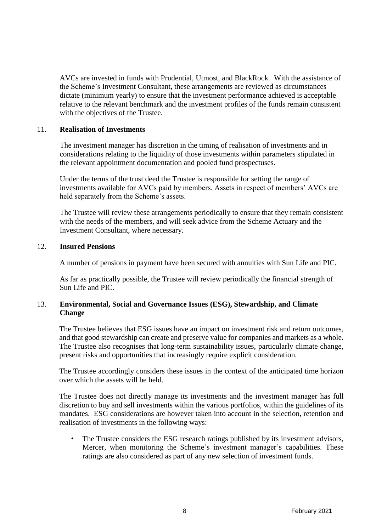AVCs are invested in funds with Prudential, Utmost, and BlackRock. With the assistance of the Scheme's Investment Consultant, these arrangements are reviewed as circumstances dictate (minimum yearly) to ensure that the investment performance achieved is acceptable relative to the relevant benchmark and the investment profiles of the funds remain consistent with the objectives of the Trustee.

#### 11. **Realisation of Investments**

The investment manager has discretion in the timing of realisation of investments and in considerations relating to the liquidity of those investments within parameters stipulated in the relevant appointment documentation and pooled fund prospectuses.

Under the terms of the trust deed the Trustee is responsible for setting the range of investments available for AVCs paid by members. Assets in respect of members' AVCs are held separately from the Scheme's assets.

The Trustee will review these arrangements periodically to ensure that they remain consistent with the needs of the members, and will seek advice from the Scheme Actuary and the Investment Consultant, where necessary.

#### 12. **Insured Pensions**

A number of pensions in payment have been secured with annuities with Sun Life and PIC.

As far as practically possible, the Trustee will review periodically the financial strength of Sun Life and PIC.

## 13. **Environmental, Social and Governance Issues (ESG), Stewardship, and Climate Change**

The Trustee believes that ESG issues have an impact on investment risk and return outcomes, and that good stewardship can create and preserve value for companies and markets as a whole. The Trustee also recognises that long-term sustainability issues, particularly climate change, present risks and opportunities that increasingly require explicit consideration.

The Trustee accordingly considers these issues in the context of the anticipated time horizon over which the assets will be held.

The Trustee does not directly manage its investments and the investment manager has full discretion to buy and sell investments within the various portfolios, within the guidelines of its mandates. ESG considerations are however taken into account in the selection, retention and realisation of investments in the following ways:

• The Trustee considers the ESG research ratings published by its investment advisors, Mercer, when monitoring the Scheme's investment manager's capabilities. These ratings are also considered as part of any new selection of investment funds.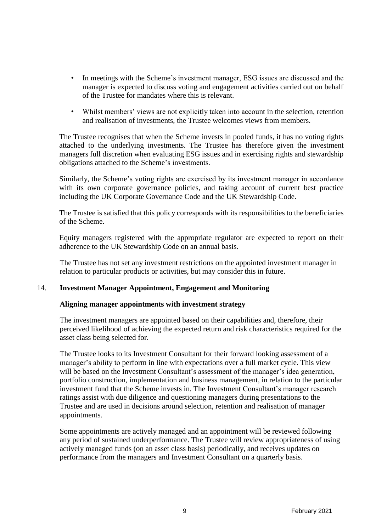- In meetings with the Scheme's investment manager, ESG issues are discussed and the manager is expected to discuss voting and engagement activities carried out on behalf of the Trustee for mandates where this is relevant.
- Whilst members' views are not explicitly taken into account in the selection, retention and realisation of investments, the Trustee welcomes views from members.

The Trustee recognises that when the Scheme invests in pooled funds, it has no voting rights attached to the underlying investments. The Trustee has therefore given the investment managers full discretion when evaluating ESG issues and in exercising rights and stewardship obligations attached to the Scheme's investments.

Similarly, the Scheme's voting rights are exercised by its investment manager in accordance with its own corporate governance policies, and taking account of current best practice including the UK Corporate Governance Code and the UK Stewardship Code.

The Trustee is satisfied that this policy corresponds with its responsibilities to the beneficiaries of the Scheme.

Equity managers registered with the appropriate regulator are expected to report on their adherence to the UK Stewardship Code on an annual basis.

The Trustee has not set any investment restrictions on the appointed investment manager in relation to particular products or activities, but may consider this in future.

#### 14. **Investment Manager Appointment, Engagement and Monitoring**

#### **Aligning manager appointments with investment strategy**

The investment managers are appointed based on their capabilities and, therefore, their perceived likelihood of achieving the expected return and risk characteristics required for the asset class being selected for.

The Trustee looks to its Investment Consultant for their forward looking assessment of a manager's ability to perform in line with expectations over a full market cycle. This view will be based on the Investment Consultant's assessment of the manager's idea generation, portfolio construction, implementation and business management, in relation to the particular investment fund that the Scheme invests in. The Investment Consultant's manager research ratings assist with due diligence and questioning managers during presentations to the Trustee and are used in decisions around selection, retention and realisation of manager appointments.

Some appointments are actively managed and an appointment will be reviewed following any period of sustained underperformance. The Trustee will review appropriateness of using actively managed funds (on an asset class basis) periodically, and receives updates on performance from the managers and Investment Consultant on a quarterly basis.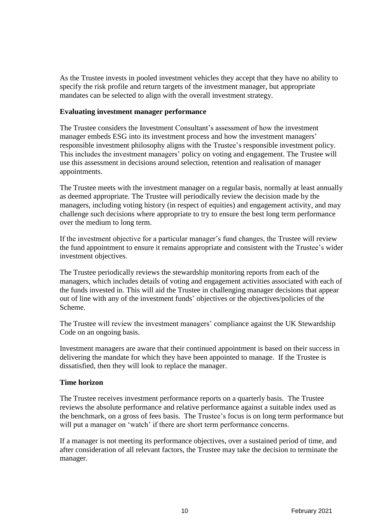As the Trustee invests in pooled investment vehicles they accept that they have no ability to specify the risk profile and return targets of the investment manager, but appropriate mandates can be selected to align with the overall investment strategy.

#### **Evaluating investment manager performance**

The Trustee considers the Investment Consultant's assessment of how the investment manager embeds ESG into its investment process and how the investment managers' responsible investment philosophy aligns with the Trustee's responsible investment policy. This includes the investment managers' policy on voting and engagement. The Trustee will use this assessment in decisions around selection, retention and realisation of manager appointments.

The Trustee meets with the investment manager on a regular basis, normally at least annually as deemed appropriate. The Trustee will periodically review the decision made by the managers, including voting history (in respect of equities) and engagement activity, and may challenge such decisions where appropriate to try to ensure the best long term performance over the medium to long term.

If the investment objective for a particular manager's fund changes, the Trustee will review the fund appointment to ensure it remains appropriate and consistent with the Trustee's wider investment objectives.

The Trustee periodically reviews the stewardship monitoring reports from each of the managers, which includes details of voting and engagement activities associated with each of the funds invested in. This will aid the Trustee in challenging manager decisions that appear out of line with any of the investment funds' objectives or the objectives/policies of the Scheme.

The Trustee will review the investment managers' compliance against the UK Stewardship Code on an ongoing basis.

Investment managers are aware that their continued appointment is based on their success in delivering the mandate for which they have been appointed to manage. If the Trustee is dissatisfied, then they will look to replace the manager.

## **Time horizon**

The Trustee receives investment performance reports on a quarterly basis. The Trustee reviews the absolute performance and relative performance against a suitable index used as the benchmark, on a gross of fees basis. The Trustee's focus is on long term performance but will put a manager on 'watch' if there are short term performance concerns.

If a manager is not meeting its performance objectives, over a sustained period of time, and after consideration of all relevant factors, the Trustee may take the decision to terminate the manager.